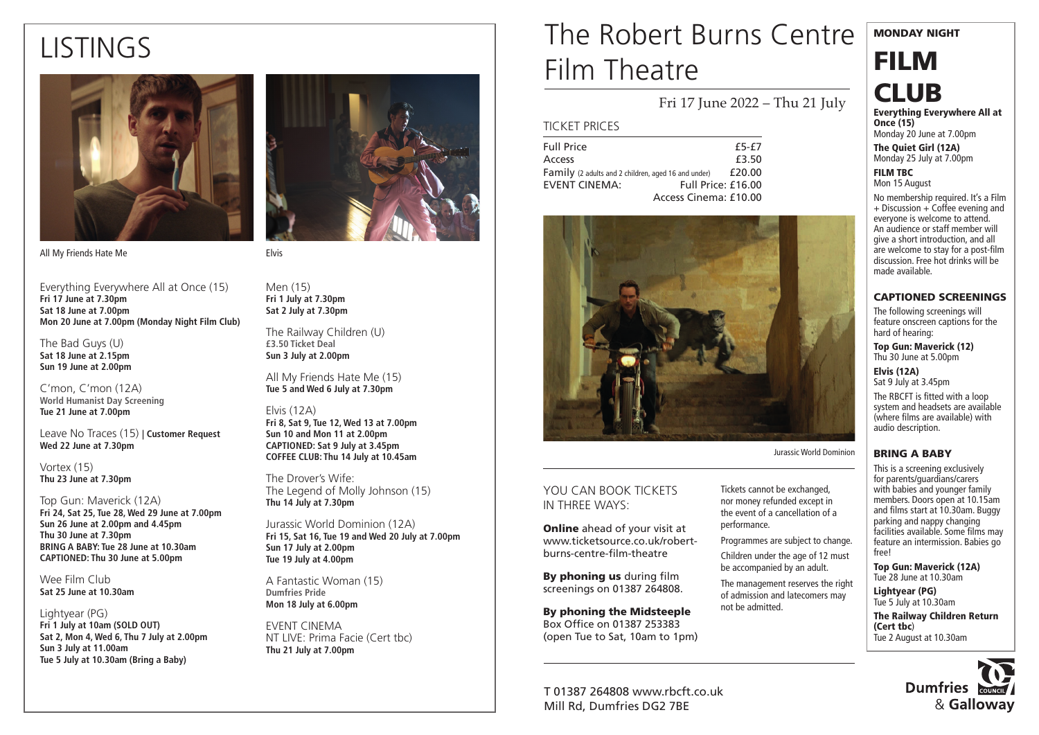# LISTINGS



All My Friends Hate Me

Everything Everywhere All at Once (15) **Fri 17 June at 7.30pm Sat 18 June at 7.00pm Mon 20 June at 7.00pm (Monday Night Film Club)**

The Bad Guys (U) **Sat 18 June at 2.15pm Sun 19 June at 2.00pm**

C'mon, C'mon (12A) **World Humanist Day Screening Tue 21 June at 7.00pm**

Leave No Traces (15) **| Customer Request Wed 22 June at 7.30pm**

Vortex (15) **Thu 23 June at 7.30pm**

Top Gun: Maverick (12A) **Fri 24, Sat 25, Tue 28, Wed 29 June at 7.00pm Sun 26 June at 2.00pm and 4.45pm Thu 30 June at 7.30pm BRING A BABY: Tue 28 June at 10.30am CAPTIONED: Thu 30 June at 5.00pm**

Wee Film Club **Sat 25 June at 10.30am**

Lightyear (PG) **Fri 1 July at 10am (SOLD OUT) Sat 2, Mon 4, Wed 6, Thu 7 July at 2.00pm Sun 3 July at 11.00am Tue 5 July at 10.30am (Bring a Baby)**



Men (15) **Fri 1 July at 7.30pm Sat 2 July at 7.30pm**

The Railway Children (U) **£3.50 Ticket Deal Sun 3 July at 2.00pm** 

All My Friends Hate Me (15) **Tue 5 and Wed 6 July at 7.30pm**

#### Elvis (12A)

**Fri 8, Sat 9, Tue 12, Wed 13 at 7.00pm Sun 10 and Mon 11 at 2.00pm CAPTIONED: Sat 9 July at 3.45pm COFFEE CLUB: Thu 14 July at 10.45am**

The Drover's Wife: The Legend of Molly Johnson (15) **Thu 14 July at 7.30pm**

Jurassic World Dominion (12A) **Fri 15, Sat 16, Tue 19 and Wed 20 July at 7.00pm Sun 17 July at 2.00pm Tue 19 July at 4.00pm**

A Fantastic Woman (15) **Dumfries Pride Mon 18 July at 6.00pm**

EVENT CINEMA NT LIVE: Prima Facie (Cert tbc) **Thu 21 July at 7.00pm**

## The Robert Burns Centre Film Theatre

Fri 17 June 2022 – Thu 21 July

#### TICKET PRICES

| <b>Full Price</b>                                   | $f5-f7$               |
|-----------------------------------------------------|-----------------------|
| Access                                              | £3.50                 |
| Family (2 adults and 2 children, aged 16 and under) | £20.00                |
| <b>FVENT CINEMA:</b>                                | Full Price: £16.00    |
|                                                     | Access Cinema: £10.00 |



YOU CAN BOOK TICKETS IN THREE WAYS:

**Online** ahead of your visit at www.ticketsource.co.uk/robertburns-centre-film-theatre

By phoning us during film screenings on 01387 264808.

By phoning the Midsteeple Box Office on 01387 253383 (open Tue to Sat, 10am to 1pm)

T 01387 264808 www.rbcft.co.uk Mill Rd, Dumfries DG2 7BE

Tickets cannot be exchanged, nor money refunded except in the event of a cancellation of a

Programmes are subject to change.

Children under the age of 12 must be accompanied by an adult.

of admission and latecomers may not be admitted.



Top Gun: Maverick (12A) Tue 28 June at 10.30am Lightyear (PG)

> **Dumfries** & Galloway

performance.

The management reserves the right



FILM

Everything Everywhere All at

MONDAY NIGHT

Once (15) Monday 20 June at 7.00pm

The Quiet Girl (12A) Monday 25 July at 7.00pm

FILM TBC Mon 15 August

No membership required. It's a Film  $+$  Discussion  $+$  Coffee evening and everyone is welcome to attend. An audience or staff member will give a short introduction, and all are welcome to stay for a post-film discussion. Free hot drinks will be made available.

#### CAPTIONED SCREENINGS

The following screenings will feature onscreen captions for the hard of hearing:

Top Gun: Maverick (12) Thu 30 June at 5.00pm

Elvis (12A) Sat 9 July at 3.45pm

The RBCFT is fitted with a loop system and headsets are available (where films are available) with audio description.

#### BRING A BABY

This is a screening exclusively for parents/guardians/carers with babies and younger family members. Doors open at 10.15am and films start at 10.30am. Buggy parking and nappy changing facilities available. Some films may feature an intermission. Babies go free!